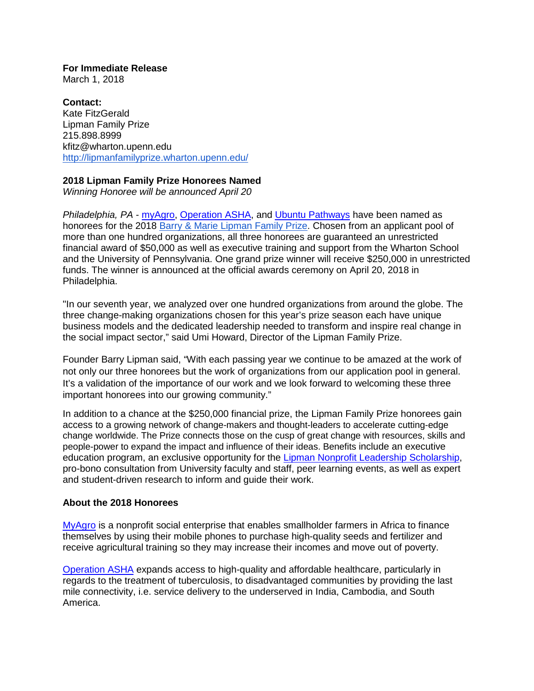**For Immediate Release** March 1, 2018

**Contact:** Kate FitzGerald Lipman Family Prize 215.898.8999 kfitz@wharton.upenn.edu <http://lipmanfamilyprize.wharton.upenn.edu/>

## **2018 Lipman Family Prize Honorees Named**

*Winning Honoree will be announced April 20*

*Philadelphia, PA* - [myAgro,](https://www.myagro.org/) [Operation ASHA,](http://www.opasha.org/) and [Ubuntu Pathways](https://ubuntupathways.org/) have been named as honorees for the 2018 [Barry & Marie Lipman Family Prize.](http://lipmanfamilyprize.wharton.upenn.edu/) Chosen from an applicant pool of more than one hundred organizations, all three honorees are guaranteed an unrestricted financial award of \$50,000 as well as executive training and support from the Wharton School and the University of Pennsylvania. One grand prize winner will receive \$250,000 in unrestricted funds. The winner is announced at the official awards ceremony on April 20, 2018 in Philadelphia.

"In our seventh year, we analyzed over one hundred organizations from around the globe. The three change-making organizations chosen for this year's prize season each have unique business models and the dedicated leadership needed to transform and inspire real change in the social impact sector," said Umi Howard, Director of the Lipman Family Prize.

Founder Barry Lipman said, "With each passing year we continue to be amazed at the work of not only our three honorees but the work of organizations from our application pool in general. It's a validation of the importance of our work and we look forward to welcoming these three important honorees into our growing community."

In addition to a chance at the \$250,000 financial prize, the Lipman Family Prize honorees gain access to a growing network of change-makers and thought-leaders to accelerate cutting-edge change worldwide. The Prize connects those on the cusp of great change with resources, skills and people-power to expand the impact and influence of their ideas. Benefits include an executive education program, an exclusive opportunity for the [Lipman Nonprofit Leadership Scholarship,](https://lipmanfamilyprize.wharton.upenn.edu/new-nonprofit-leadership-scholarship/) pro-bono consultation from University faculty and staff, peer learning events, as well as expert and student-driven research to inform and guide their work.

## **About the 2018 Honorees**

[MyAgro](https://www.myagro.org/) is a nonprofit social enterprise that enables smallholder farmers in Africa to finance themselves by using their mobile phones to purchase high-quality seeds and fertilizer and receive agricultural training so they may increase their incomes and move out of poverty.

[Operation ASHA](https://www.myagro.org/) expands access to high-quality and affordable healthcare, particularly in regards to the treatment of tuberculosis, to disadvantaged communities by providing the last mile connectivity, i.e. service delivery to the underserved in India, Cambodia, and South America.